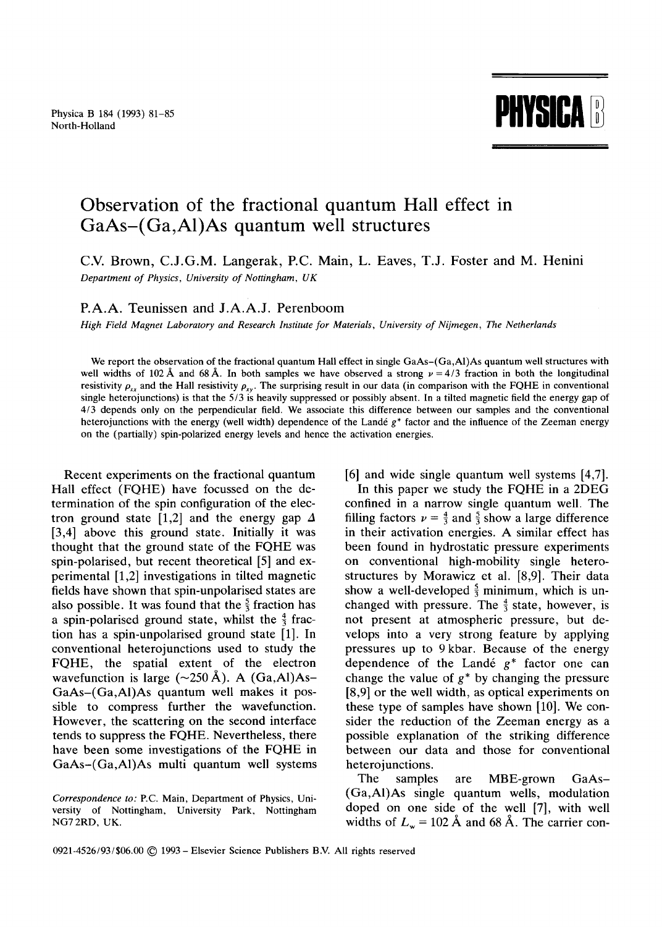Physica B 184 (1993) 81-85



## **Observation of the fractional quantum Hall effect in GaAs-(Ga,A1)As quantum well structures**

## C.V. Brown, C.J.G.M. Langerak, P.C. Main, L. Eaves, T.J. Foster and M. Henini *Department of Physics, University of Nottingham, UK*

## P.A.A. Teunissen and J.A.A.J. Perenboom

*High Field Magnet Laboratory and Research Institute for Materials, University of Nijmegen, The Netherlands* 

We report the observation of the fractional quantum Hall effect in single GaAs–(Ga,Al)As quantum well structures with well widths of 102 Å and 68 Å. In both samples we have observed a strong  $\nu = 4/3$  fraction in both the longitudinal resistivity  $\rho_{xx}$  and the Hall resistivity  $\rho_{xy}$ . The surprising result in our data (in comparison with the FQHE in conventional single heterojunctions) is that the 5/3 is heavily suppressed or possibly absent. In a tilted magnetic field the energy gap of 4/3 depends only on the perpendicular field. We associate this difference between our samples and the conventional heterojunctions with the energy (well width) dependence of the Landé g\* factor and the influence of the Zeeman energy on the (partially) spin-polarized energy levels and hence the activation energies.

Recent experiments on the fractional quantum Hall effect (FQHE) have focussed on the determination of the spin configuration of the electron ground state [1,2] and the energy gap  $\Delta$ [3,4] above this ground state. Initially it was thought that the ground state of the FQHE was spin-polarised, but recent theoretical [5] and experimental [1,2] investigations in tilted magnetic fields have shown that spin-unpolarised states are also possible. It was found that the  $\frac{5}{3}$  fraction has a spin-polarised ground state, whilst the  $\frac{4}{3}$  fraction has a spin-unpolarised ground state [1]. In conventional heterojunctions used to study the FQHE, the spatial extent of the electron wavefunction is large  $(\sim 250 \text{ Å})$ . A  $(Ga, Al)As-$ GaAs-(Ga,AI)As quantum well makes it possible to compress further the wavefunction. However, the scattering on the second interface tends to suppress the FQHE. Nevertheless, there have been some investigations of the FQHE in GaAs-(Ga,A1)As multi quantum well systems [6] and wide single quantum well systems [4,7].

In this paper we study the FQHE in a 2DEG confined in a narrow single quantum well. The filling factors  $\nu = \frac{4}{3}$  and  $\frac{5}{3}$  show a large difference in their activation energies. A similar effect has been found in hydrostatic pressure experiments on conventional high-mobility single heterostructures by Morawicz et al. [8,9]. Their data show a well-developed  $\frac{5}{3}$  minimum, which is unchanged with pressure. The  $\frac{4}{3}$  state, however, is not present at atmospheric pressure, but develops into a very strong feature by applying pressures up to 9 kbar. Because of the energy dependence of the Landé  $g^*$  factor one can change the value of  $g^*$  by changing the pressure [8,9] or the well width, as optical experiments on these type of samples have shown [10]. We consider the reduction of the Zeeman energy as a possible explanation of the striking difference between our data and those for conventional heterojunctions.

The samples are MBE-grown GaAs- (Ga,AI)As single quantum wells, modulation doped on one side of the well [7], with well widths of  $L_w = 102 \text{ Å}$  and 68 Å. The carrier con-

*Correspondence to:* P.C. Main, Department of Physics, University of Nottingham, University Park, Nottingham NG7 2RD, UK.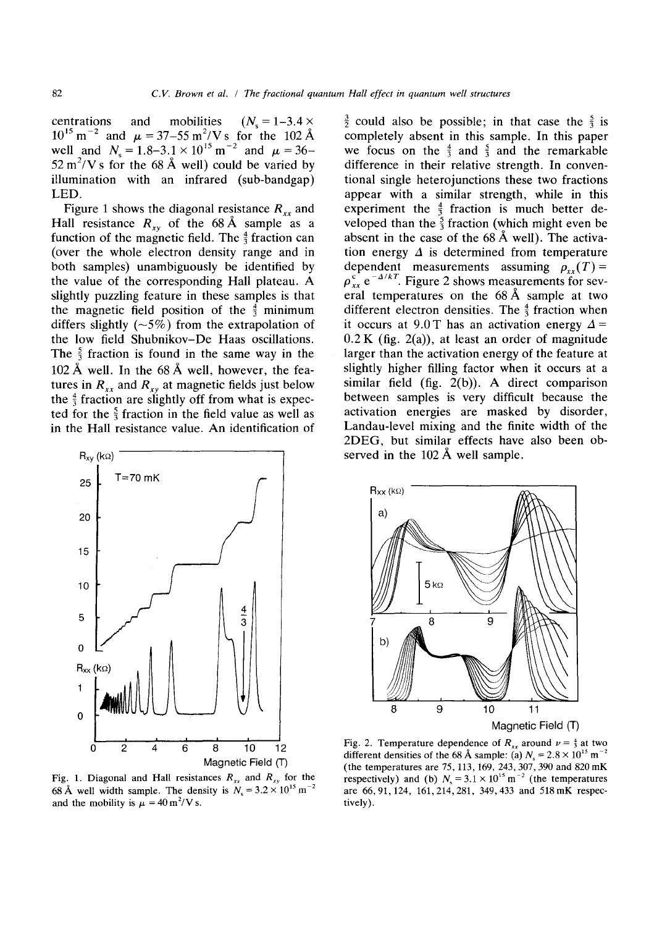centrations and mobilities  $(N_s = 1-3.4 \times$ 10<sup>13</sup> m<sup>-2</sup> and  $\mu = 37-55$  m<sup>2</sup>/Vs for the 102 well and  $N_s = 1.8-3.1 \times 10^{13}$  m<sup>-2</sup> and  $\mu = 36$ - $52 \text{ m}^2$ /V s for the 68 Å well) could be varied by illumination with an infrared (sub-bandgap) LED.

Figure 1 shows the diagonal resistance  $R_{xx}$  and Hall resistance  $R_{xy}$  of the 68 Å sample as a function of the magnetic field. The  $\frac{4}{3}$  fraction can (over the whole electron density range and in both samples) unambiguously be identified by the value of the corresponding Hall plateau. A slightly puzzling feature in these samples is that the magnetic field position of the  $\frac{4}{3}$  minimum differs slightly  $(-5\%)$  from the extrapolation of the low field Shubnikov-De Haas oscillations. The  $\frac{5}{3}$  fraction is found in the same way in the 102 Å well. In the  $68 \text{ Å}$  well, however, the features in  $R_{xx}$  and  $R_{xy}$  at magnetic fields just below the  $\frac{4}{3}$  fraction are slightly off from what is expected for the  $\frac{5}{3}$  fraction in the field value as well as in the Hall resistance value. An identification of



Fig. 1. Diagonal and Hall resistances  $R_{xx}$  and  $R_{xy}$  for the 68 Å well width sample. The density is  $N_s = 3.2 \times 10^{15}$  m<sup>-2</sup> and the mobility is  $\mu = 40 \text{ m}^2/\text{V}$  s.

 $\frac{3}{2}$  could also be possible; in that case the  $\frac{5}{3}$  is completely absent in this sample. In this paper we focus on the  $\frac{4}{3}$  and  $\frac{5}{3}$  and the remarkable difference in their relative strength. In conventional single heterojunctions these two fractions appear with a similar strength, while in this experiment the  $\frac{4}{3}$  fraction is much better developed than the  $\frac{5}{3}$  fraction (which might even be absent in the case of the  $68 \text{ Å}$  well). The activation energy  $\Delta$  is determined from temperature dependent measurements assuming  $\rho_{xx}(T) =$  $\rho_{xx}^c$  e<sup>- $\Delta/kT$ </sup>. Figure 2 shows measurements for several temperatures on the  $68 \text{\AA}$  sample at two different electron densities. The  $\frac{4}{3}$  fraction when it occurs at 9.0 T has an activation energy  $\Delta =$  $0.2 K$  (fig. 2(a)), at least an order of magnitude larger than the activation energy of the feature at slightly higher filling factor when it occurs at a similar field (fig. 2(b)). A direct comparison between samples is very difficult because the activation energies are masked by disorder, Landau-level mixing and the finite width of the 2DEG, but similar effects have also been observed in the  $102 \text{ Å}$  well sample.



Fig. 2. Temperature dependence of  $R_{xx}$  around  $v = \frac{4}{3}$  at two different densities of the 68 Å sample: (a)  $N_c = 2.8 \times 10^{15}$  m<sup>-1</sup> (the temperatures are 75,113,169, 243,307,390 and 820 mK respectively) and (b)  $N_s = 3.1 \times 10^{15} \text{ m}^{-2}$  (the temperatures are 66, 91,124, 161,214,281, 349,433 and 518 mK respectively).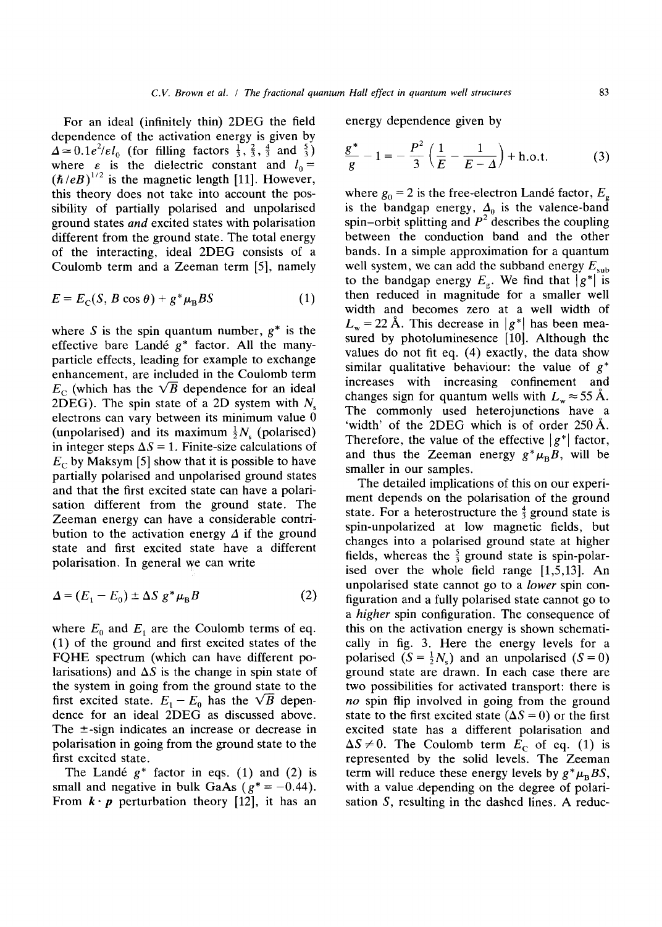For an ideal (infinitely thin) 2DEG the field dependence of the activation energy is given by  $\Delta \simeq 0.1 e^2/\varepsilon l_0$  (for filling factors  $\frac{1}{3}$ ,  $\frac{2}{3}$ ,  $\frac{4}{3}$  and  $\frac{5}{3}$ ) where  $\varepsilon$  is the dielectric constant and  $l_0 =$  $(\hbar/eB)^{1/2}$  is the magnetic length [11]. However, this theory does not take into account the possibility of partially polarised and unpolarised ground states *and* excited states with polarisation different from the ground state. The total energy of the interacting, ideal 2DEG consists of a Coulomb term and a Zeeman term [5], namely

$$
E = E_{\rm C}(S, B \cos \theta) + g^* \mu_{\rm B} B S \tag{1}
$$

where S is the spin quantum number,  $g^*$  is the effective bare Landé  $g^*$  factor. All the manyparticle effects, leading for example to exchange enhancement, are included in the Coulomb term  $E_c$  (which has the  $\sqrt{B}$  dependence for an ideal 2DEG). The spin state of a 2D system with  $N_s$ electrons can vary between its minimum value 0 (unpolarised) and its maximum  $\frac{1}{2}N_s$  (polarised) in integer steps  $\Delta S = 1$ . Finite-size calculations of  $E_c$  by Maksym [5] show that it is possible to have partially polarised and unpolarised ground states and that the first excited state can have a polarisation different from the ground state. The Zeeman energy can have a considerable contribution to the activation energy  $\Delta$  if the ground state and first excited state have a different polarisation. In general we can write

$$
\Delta = (E_1 - E_0) \pm \Delta S \ g^* \mu_B B \tag{2}
$$

where  $E_0$  and  $E_1$  are the Coulomb terms of eq. (1) of the ground and first excited states of the FQHE spectrum (which can have different polarisations) and  $\Delta S$  is the change in spin state of the system in going from the ground state to the first excited state.  $E_1 - E_0$  has the  $\sqrt{B}$  dependence for an ideal 2DEG as discussed above. The  $\pm$ -sign indicates an increase or decrease in polarisation in going from the ground state to the first excited state.

The Landé  $g^*$  factor in eqs. (1) and (2) is small and negative in bulk GaAs ( $g^* = -0.44$ ). From  $\mathbf{k} \cdot \mathbf{p}$  perturbation theory [12], it has an

energy dependence given by

$$
\frac{g^*}{g} - 1 = -\frac{P^2}{3} \left( \frac{1}{E} - \frac{1}{E - \Delta} \right) + \text{h.o.t.}
$$
 (3)

where  $g_0 = 2$  is the free-electron Landé factor,  $E<sub>e</sub>$ is the bandgap energy,  $\Delta_0$  is the valence-band spin-orbit splitting and  $P^2$  describes the coupling between the conduction band and the other bands. In a simple approximation for a quantum well system, we can add the subband energy  $E_{sub}$ to the bandgap energy  $E<sub>g</sub>$ . We find that  $|g^*|$  is then reduced in magnitude for a smaller well width and becomes zero at a well width of  $L_w = 22~\text{Å}$ . This decrease in  $|g^*|$  has been measured by photoluminesence [10]. Although the values do not fit eq. (4) exactly, the data show similar qualitative behaviour: the value of  $g^*$ increases with increasing confinement and changes sign for quantum wells with  $L_w \approx 55$  Å. The commonly used heterojunctions have a 'width' of the 2DEG which is of order  $250 \text{ Å}$ . Therefore, the value of the effective  $|g^*|$  factor, and thus the Zeeman energy  $g^*\mu_B B$ , will be smaller in our samples.

The detailed implications of this on our experiment depends on the polarisation of the ground state. For a heterostructure the  $\frac{4}{3}$  ground state is spin-unpolarized at low magnetic fields, but changes into a polarised ground state at higher fields, whereas the  $\frac{5}{3}$  ground state is spin-polarised over the whole field range [1,5,13]. An unpolarised state cannot go to a *lower* spin configuration and a fully polarised state cannot go to *a higher* spin configuration. The consequence of this on the activation energy is shown schematically in fig. 3. Here the energy levels for a polarised  $(S = \frac{1}{2}N_s)$  and an unpolarised  $(S = 0)$ ground state are drawn. In each case there are two possibilities for activated transport: there is *no* spin flip involved in going from the ground state to the first excited state  $(\Delta S = 0)$  or the first excited state has a different polarisation and  $\Delta S \neq 0$ . The Coulomb term  $E_C$  of eq. (1) is represented by the solid levels. The Zeeman term will reduce these energy levels by  $g^*\mu_BBS$ , with a value depending on the degree of polarisation S, resulting in the dashed lines. A reduc-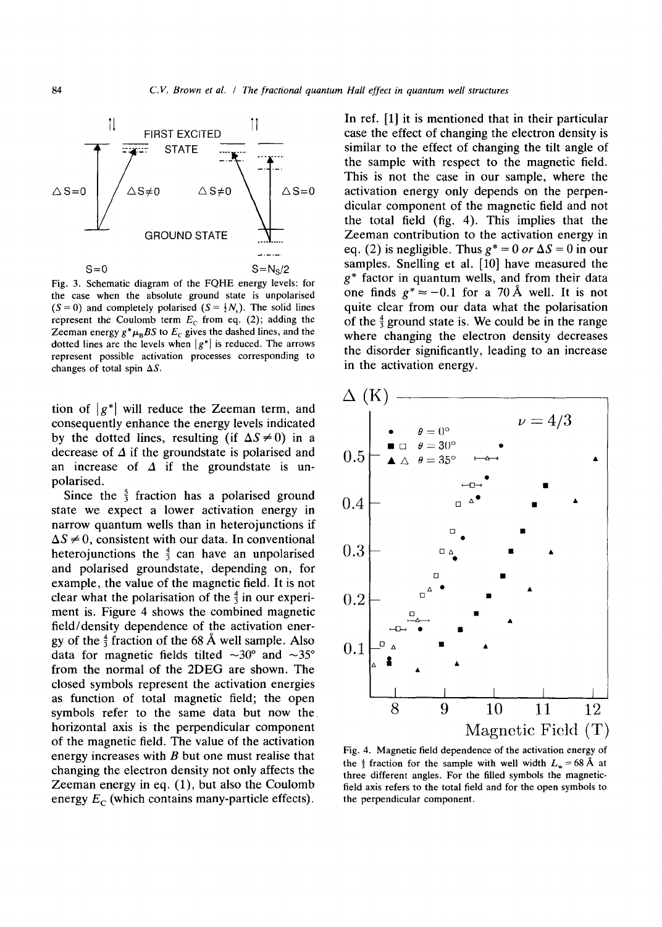

Fig. 3. Schematic diagram of the FQHE energy levels: for the case when the absolute ground state is unpolarised  $(S = 0)$  and completely polarised  $(S = \frac{1}{2}N_s)$ . The solid lines represent the Coulomb term  $E_c$  from eq. (2); adding the Zeeman energy  $g^*\mu_BBS$  to  $E_c$  gives the dashed lines, and the dotted lines are the levels when  $|g^*|$  is reduced. The arrows represent possible activation processes corresponding to changes of total spin  $\Delta S$ .

tion of  $|g^*|$  will reduce the Zeeman term, and consequently enhance the energy levels indicated by the dotted lines, resulting (if  $\Delta S \neq 0$ ) in a decrease of  $\Delta$  if the groundstate is polarised and an increase of  $\Delta$  if the groundstate is unpolarised.

Since the  $\frac{5}{3}$  fraction has a polarised ground state we expect a lower activation energy in narrow quantum wells than in heterojunctions if  $\Delta S \neq 0$ , consistent with our data. In conventional heterojunctions the  $\frac{4}{3}$  can have an unpolarised and polarised groundstate, depending on, for example, the value of the magnetic field. It is not clear what the polarisation of the  $\frac{4}{3}$  in our experiment is. Figure 4 shows the combined magnetic field/density dependence of the activation energy of the  $\frac{4}{3}$  fraction of the 68 Å well sample. Also data for magnetic fields tilted  $\sim 30^{\circ}$  and  $\sim 35^{\circ}$ from the normal of the 2DEG are shown. The closed symbols represent the activation energies as function of total magnetic field; the open symbols refer to the same data but now the horizontal axis is the perpendicular component of the magnetic field. The value of the activation energy increases with  $B$  but one must realise that changing the electron density not only affects the Zeeman energy in eq. (1), but also the Coulomb energy  $E_C$  (which contains many-particle effects).

In ref. [1] it is mentioned that in their particular case the effect of changing the electron density is similar to the effect of changing the tilt angle of the sample with respect to the magnetic field. This is not the case in our sample, where the activation energy only depends on the perpendicular component of the magnetic field and not the total field (fig. 4). This implies that the Zeeman contribution to the activation energy in eq. (2) is negligible. Thus  $g^* = 0$  or  $\Delta S = 0$  in our samples. Snelling et al. [10] have measured the  $g^*$  factor in quantum wells, and from their data one finds  $g^* \approx -0.1$  for a 70 Å well. It is not quite clear from our data what the polarisation of the  $\frac{4}{3}$  ground state is. We could be in the range where changing the electron density decreases the disorder significantly, leading to an increase in the activation energy.



Fig. 4. Magnetic field dependence of the activation energy of the  $\frac{4}{3}$  fraction for the sample with well width  $L_{\infty} = 68 \text{ Å}$  at three different angles. For the filled symbols the magneticfield axis refers to the total field and for the open symbols to the perpendicular component.